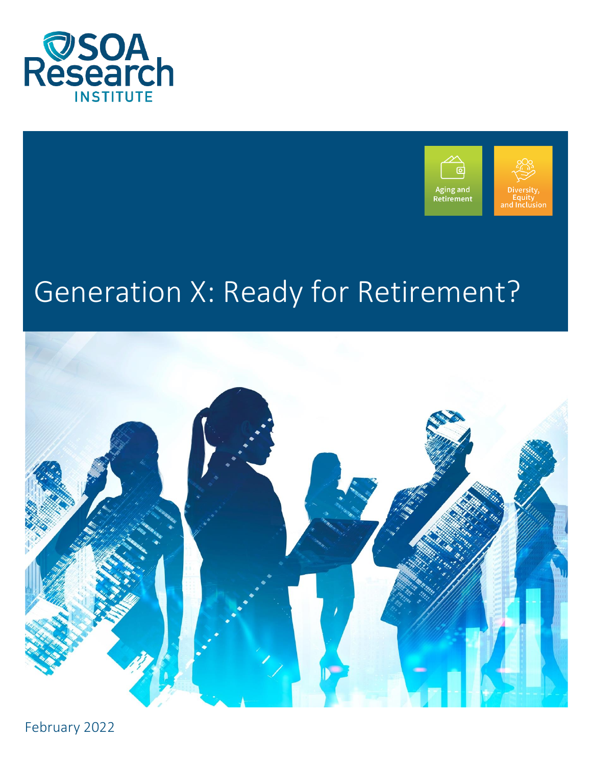



# Generation X: Ready for Retirement?



February 2022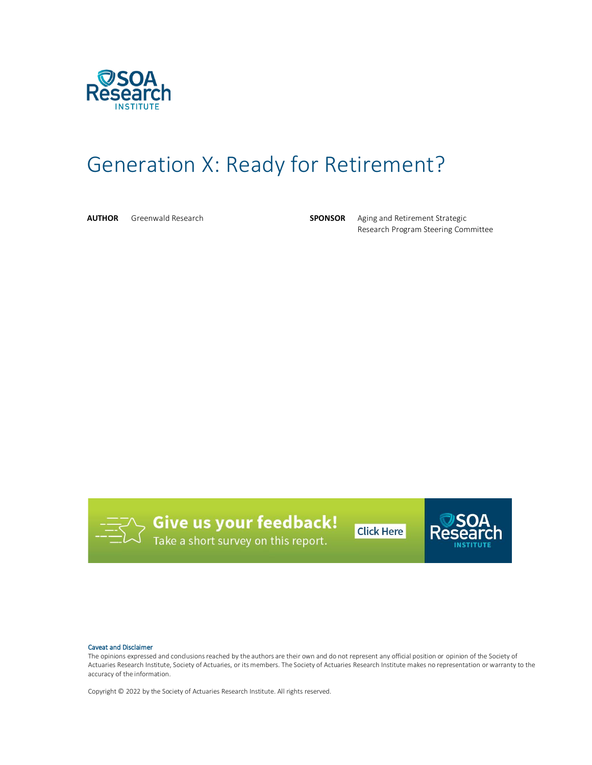

# Generation X: Ready for Retirement?

**AUTHOR** Greenwald Research **SPONSOR** Aging and Retirement Strategic Research Program Steering Committee



**Give us your feedback!**<br>Take a short survey on this report.

**Click Here** 



#### Caveat and Disclaimer

The opinions expressed and conclusions reached by the authors are their own and do not represent any official position or opinion of the Society of Actuaries Research Institute, Society of Actuaries, or its members. The Society of Actuaries Research Institute makes no representation or warranty to the accuracy of the information.

Copyright © 2022 by the Society of Actuaries Research Institute. All rights reserved.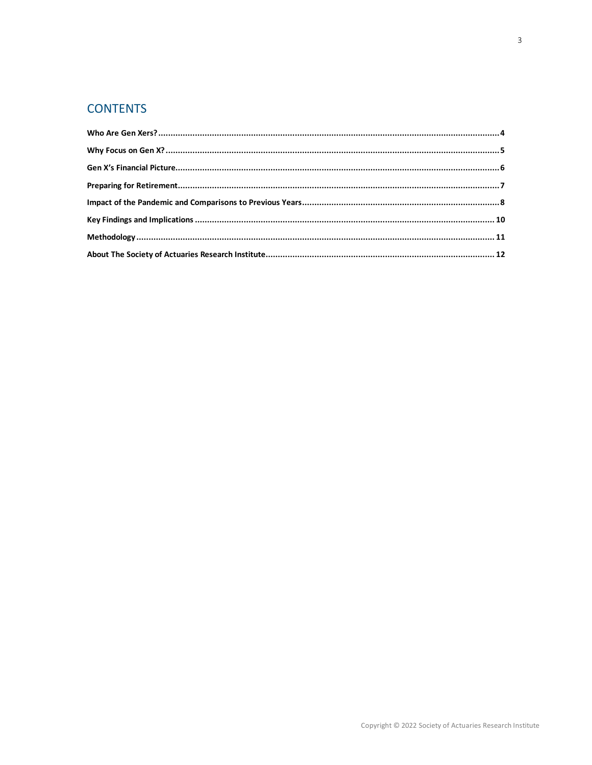# **CONTENTS**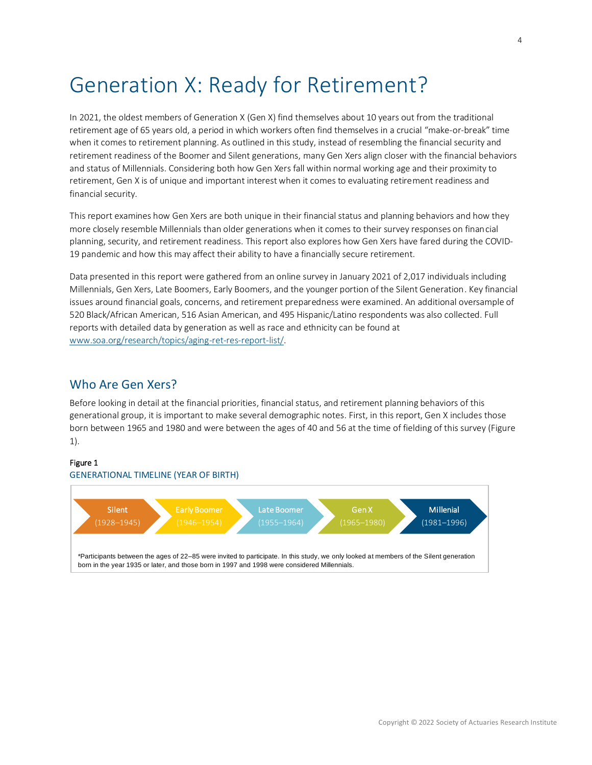# Generation X: Ready for Retirement?

In 2021, the oldest members of Generation X (Gen X) find themselves about 10 years out from the traditional retirement age of 65 years old, a period in which workers often find themselves in a crucial "make-or-break" time when it comes to retirement planning. As outlined in this study, instead of resembling the financial security and retirement readiness of the Boomer and Silent generations, many Gen Xers align closer with the financial behaviors and status of Millennials. Considering both how Gen Xers fall within normal working age and their proximity to retirement, Gen X is of unique and important interest when it comes to evaluating retirement readiness and financial security.

This report examines how Gen Xers are both unique in their financial status and planning behaviors and how they more closely resemble Millennials than older generations when it comes to their survey responses on financial planning, security, and retirement readiness. This report also explores how Gen Xers have fared during the COVID-19 pandemic and how this may affect their ability to have a financially secure retirement.

Data presented in this report were gathered from an online survey in January 2021 of 2,017 individuals including Millennials, Gen Xers, Late Boomers, Early Boomers, and the younger portion of the Silent Generation. Key financial issues around financial goals, concerns, and retirement preparedness were examined. An additional oversample of 520 Black/African American, 516 Asian American, and 495 Hispanic/Latino respondents was also collected. Full reports with detailed data by generation as well as race and ethnicity can be found at [www.soa.org/research/topics/aging-ret-res-report-list/.](http://www.soa.org/research/topics/aging-ret-res-report-list/)

#### <span id="page-3-0"></span>Who Are Gen Xers?

Before looking in detail at the financial priorities, financial status, and retirement planning behaviors of this generational group, it is important to make several demographic notes. First, in this report, Gen X includes those born between 1965 and 1980 and were between the ages of 40 and 56 at the time of fielding of this survey (Figure 1).

#### Figure 1

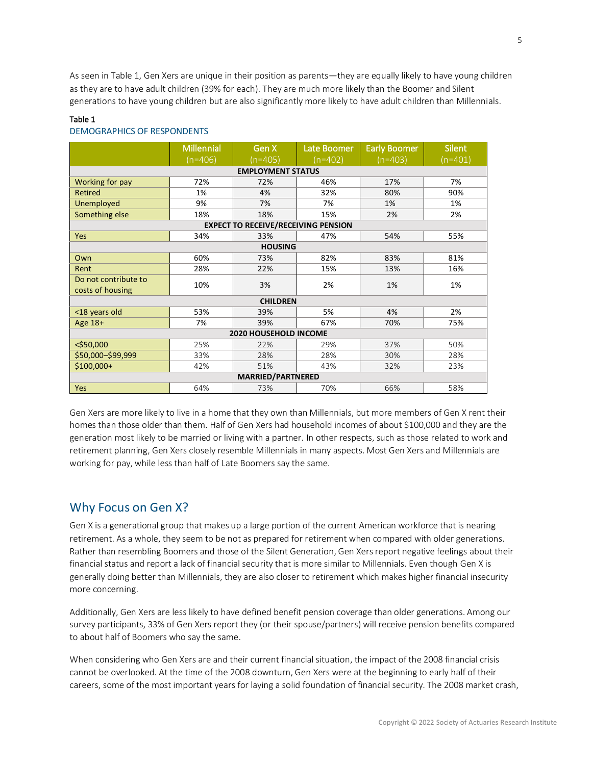As seen in Table 1, Gen Xers are unique in their position as parents—they are equally likely to have young children as they are to have adult children (39% for each). They are much more likely than the Boomer and Silent generations to have young children but are also significantly more likely to have adult children than Millennials.

#### Table 1

#### DEMOGRAPHICS OF RESPONDENTS

|                                            | <b>Millennial</b><br>$(n=406)$ | Gen X<br>$(n=405)$ | Late Boomer<br>(n=402) | <b>Early Boomer</b><br>$(n=403)$ | <b>Silent</b><br>$(n=401)$ |  |  |
|--------------------------------------------|--------------------------------|--------------------|------------------------|----------------------------------|----------------------------|--|--|
| <b>EMPLOYMENT STATUS</b>                   |                                |                    |                        |                                  |                            |  |  |
| Working for pay                            | 72%                            | 72%                | 46%                    | 17%                              | 7%                         |  |  |
| <b>Retired</b>                             | 1%                             | 4%                 | 32%                    | 80%                              | 90%                        |  |  |
| Unemployed                                 | 9%                             | 7%                 | 7%                     | 1%                               | 1%                         |  |  |
| Something else                             | 18%                            | 18%                | 15%                    | 2%                               | 2%                         |  |  |
| <b>EXPECT TO RECEIVE/RECEIVING PENSION</b> |                                |                    |                        |                                  |                            |  |  |
| Yes                                        | 34%                            | 33%                | 47%                    | 54%                              | 55%                        |  |  |
| <b>HOUSING</b>                             |                                |                    |                        |                                  |                            |  |  |
| Own                                        | 60%                            | 73%                | 82%                    | 83%                              | 81%                        |  |  |
| Rent                                       | 28%                            | 22%                | 15%                    | 13%                              | 16%                        |  |  |
| Do not contribute to                       | 10%                            | 3%                 | 2%                     | 1%                               | 1%                         |  |  |
| costs of housing                           |                                |                    |                        |                                  |                            |  |  |
| <b>CHILDREN</b>                            |                                |                    |                        |                                  |                            |  |  |
| <18 years old                              | 53%                            | 39%                | 5%                     | 4%                               | 2%                         |  |  |
| Age 18+                                    | 7%                             | 39%                | 67%                    | 70%                              | 75%                        |  |  |
| 2020 HOUSEHOLD INCOME                      |                                |                    |                        |                                  |                            |  |  |
| $<$ \$50,000                               | 25%                            | 22%                | 29%                    | 37%                              | 50%                        |  |  |
| \$50,000-\$99,999                          | 33%                            | 28%                | 28%                    | 30%                              | 28%                        |  |  |
| $$100,000+$                                | 42%                            | 51%                | 43%                    | 32%                              | 23%                        |  |  |
| <b>MARRIED/PARTNERED</b>                   |                                |                    |                        |                                  |                            |  |  |
| <b>Yes</b>                                 | 64%                            | 73%                | 70%                    | 66%                              | 58%                        |  |  |

Gen Xers are more likely to live in a home that they own than Millennials, but more members of Gen X rent their homes than those older than them. Half of Gen Xers had household incomes of about \$100,000 and they are the generation most likely to be married or living with a partner. In other respects, such as those related to work and retirement planning, Gen Xers closely resemble Millennials in many aspects. Most Gen Xers and Millennials are working for pay, while less than half of Late Boomers say the same.

#### <span id="page-4-0"></span>Why Focus on Gen X?

Gen X is a generational group that makes up a large portion of the current American workforce that is nearing retirement. As a whole, they seem to be not as prepared for retirement when compared with older generations. Rather than resembling Boomers and those of the Silent Generation, Gen Xers report negative feelings about their financial status and report a lack of financial security that is more similar to Millennials. Even though Gen X is generally doing better than Millennials, they are also closer to retirement which makes higher financial insecurity more concerning.

Additionally, Gen Xers are less likely to have defined benefit pension coverage than older generations. Among our survey participants, 33% of Gen Xers report they (or their spouse/partners) will receive pension benefits compared to about half of Boomers who say the same.

When considering who Gen Xers are and their current financial situation, the impact of the 2008 financial crisis cannot be overlooked. At the time of the 2008 downturn, Gen Xers were at the beginning to early half of their careers, some of the most important years for laying a solid foundation of financial security. The 2008 market crash,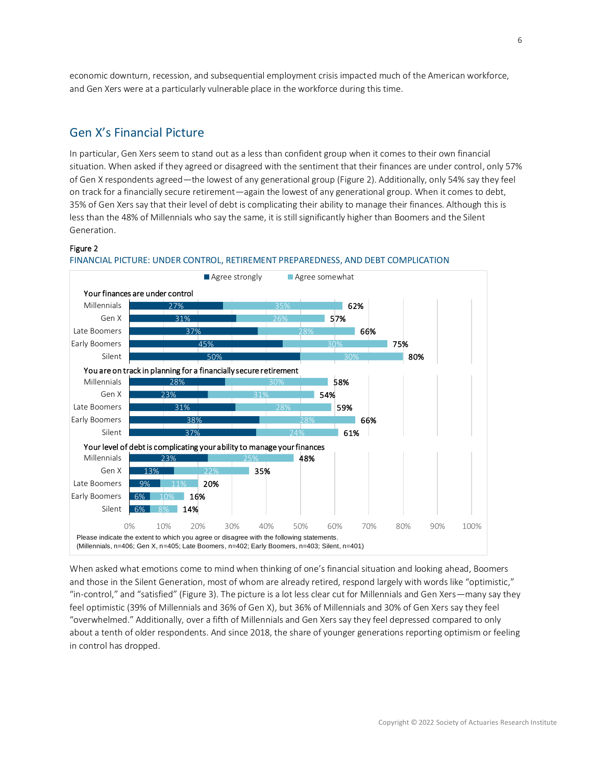<span id="page-5-0"></span>economic downturn, recession, and subsequential employment crisis impacted much of the American workforce, and Gen Xers were at a particularly vulnerable place in the workforce during this time.

#### Gen X's Financial Picture

In particular, Gen Xers seem to stand out as a less than confident group when it comes to their own financial situation. When asked if they agreed or disagreed with the sentiment that their finances are under control, only 57% of Gen X respondents agreed—the lowest of any generational group (Figure 2). Additionally, only 54% say they feel on track for a financially secure retirement—again the lowest of any generational group. When it comes to debt, 35% of Gen Xers say that their level of debt is complicating their ability to manage their finances. Although this is less than the 48% of Millennials who say the same, it is still significantly higher than Boomers and the Silent Generation.

#### Figure 2



#### FINANCIAL PICTURE: UNDER CONTROL, RETIREMENT PREPAREDNESS, AND DEBT COMPLICATION

When asked what emotions come to mind when thinking of one's financial situation and looking ahead, Boomers and those in the Silent Generation, most of whom are already retired, respond largely with words like "optimistic," "in-control," and "satisfied" (Figure 3). The picture is a lot less clear cut for Millennials and Gen Xers—many say they feel optimistic (39% of Millennials and 36% of Gen X), but 36% of Millennials and 30% of Gen Xers say they feel "overwhelmed." Additionally, over a fifth of Millennials and Gen Xers say they feel depressed compared to only about a tenth of older respondents. And since 2018, the share of younger generations reporting optimism or feeling in control has dropped.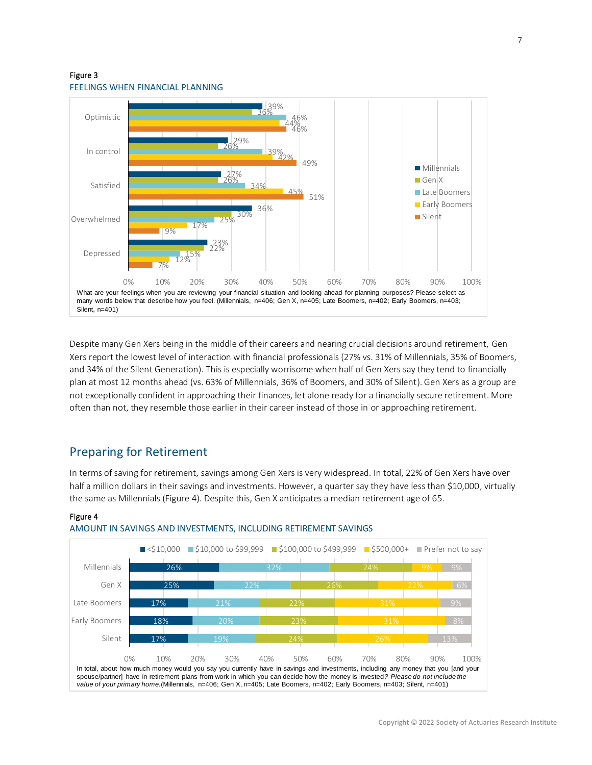#### Figure 3 FEELINGS WHEN FINANCIAL PLANNING



Despite many Gen Xers being in the middle of their careers and nearing crucial decisions around retirement, Gen Xers report the lowest level of interaction with financial professionals (27% vs. 31% of Millennials, 35% of Boomers, and 34% of the Silent Generation). This is especially worrisome when half of Gen Xers say they tend to financially plan at most 12 months ahead (vs. 63% of Millennials, 36% of Boomers, and 30% of Silent). Gen Xers as a group are not exceptionally confident in approaching their finances, let alone ready for a financially secure retirement. More often than not, they resemble those earlier in their career instead of those in or approaching retirement.

### <span id="page-6-0"></span>Preparing for Retirement

Figure 4

In terms of saving for retirement, savings among Gen Xers is very widespread. In total, 22% of Gen Xers have over half a million dollars in their savings and investments. However, a quarter say they have less than \$10,000, virtually the same as Millennials (Figure 4). Despite this, Gen X anticipates a median retirement age of 65.



#### AMOUNT IN SAVINGS AND INVESTMENTS, INCLUDING RETIREMENT SAVINGS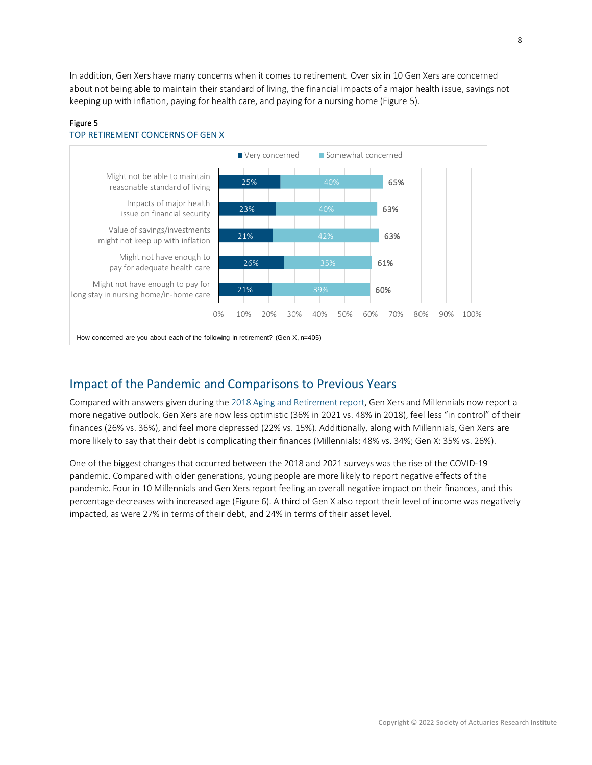In addition, Gen Xers have many concerns when it comes to retirement. Over six in 10 Gen Xers are concerned about not being able to maintain their standard of living, the financial impacts of a major health issue, savings not keeping up with inflation, paying for health care, and paying for a nursing home (Figure 5).



#### Figure 5 TOP RETIREMENT CONCERNS OF GEN X

## <span id="page-7-0"></span>Impact of the Pandemic and Comparisons to Previous Years

Compared with answers given during th[e 2018 Aging and Retirement report,](https://www.soa.org/globalassets/assets/files/resources/research-report/2018/financial-perspectives-aging.pdf) Gen Xers and Millennials now report a more negative outlook. Gen Xers are now less optimistic (36% in 2021 vs. 48% in 2018), feel less "in control" of their finances (26% vs. 36%), and feel more depressed (22% vs. 15%). Additionally, along with Millennials, Gen Xers are more likely to say that their debt is complicating their finances (Millennials: 48% vs. 34%; Gen X: 35% vs. 26%).

One of the biggest changes that occurred between the 2018 and 2021 surveys was the rise of the COVID-19 pandemic. Compared with older generations, young people are more likely to report negative effects of the pandemic. Four in 10 Millennials and Gen Xers report feeling an overall negative impact on their finances, and this percentage decreases with increased age (Figure 6). A third of Gen X also report their level of income was negatively impacted, as were 27% in terms of their debt, and 24% in terms of their asset level.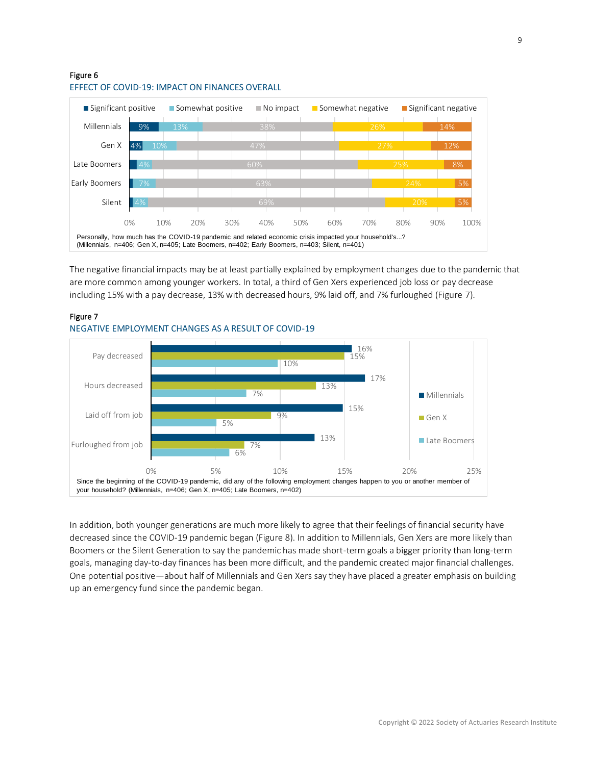#### Figure 6



#### EFFECT OF COVID-19: IMPACT ON FINANCES OVERALL

The negative financial impacts may be at least partially explained by employment changes due to the pandemic that are more common among younger workers. In total, a third of Gen Xers experienced job loss or pay decrease including 15% with a pay decrease, 13% with decreased hours, 9% laid off, and 7% furloughed (Figure 7).



#### Figure 7 NEGATIVE EMPLOYMENT CHANGES AS A RESULT OF COVID-19

In addition, both younger generations are much more likely to agree that their feelings of financial security have decreased since the COVID-19 pandemic began (Figure 8). In addition to Millennials, Gen Xers are more likely than Boomers or the Silent Generation to say the pandemic has made short-term goals a bigger priority than long-term goals, managing day-to-day finances has been more difficult, and the pandemic created major financial challenges. One potential positive—about half of Millennials and Gen Xers say they have placed a greater emphasis on building up an emergency fund since the pandemic began.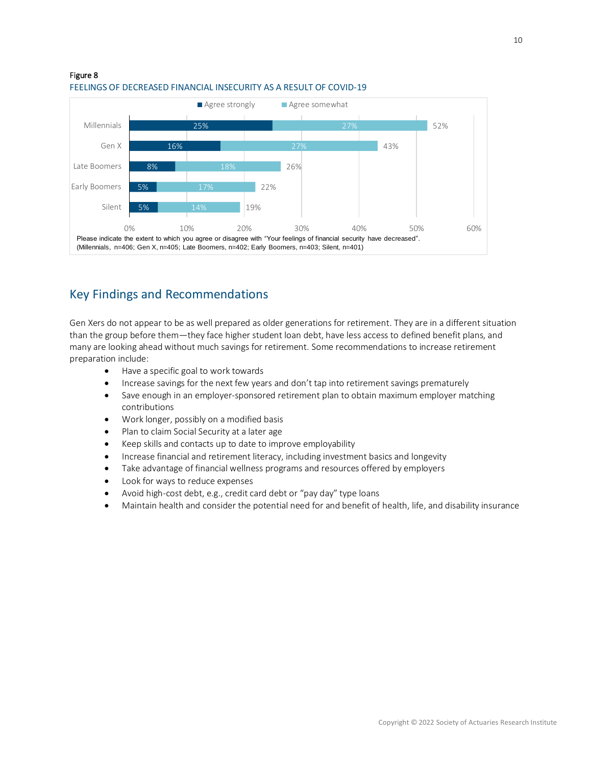

#### Figure 8 FEELINGS OF DECREASED FINANCIAL INSECURITY AS A RESULT OF COVID-19

# <span id="page-9-0"></span>Key Findings and Recommendations

Gen Xers do not appear to be as well prepared as older generations for retirement. They are in a different situation than the group before them—they face higher student loan debt, have less access to defined benefit plans, and many are looking ahead without much savings for retirement. Some recommendations to increase retirement preparation include:

- Have a specific goal to work towards
- Increase savings for the next few years and don't tap into retirement savings prematurely
- Save enough in an employer-sponsored retirement plan to obtain maximum employer matching contributions
- Work longer, possibly on a modified basis
- Plan to claim Social Security at a later age
- Keep skills and contacts up to date to improve employability
- Increase financial and retirement literacy, including investment basics and longevity
- Take advantage of financial wellness programs and resources offered by employers
- Look for ways to reduce expenses
- Avoid high-cost debt, e.g., credit card debt or "pay day" type loans
- Maintain health and consider the potential need for and benefit of health, life, and disability insurance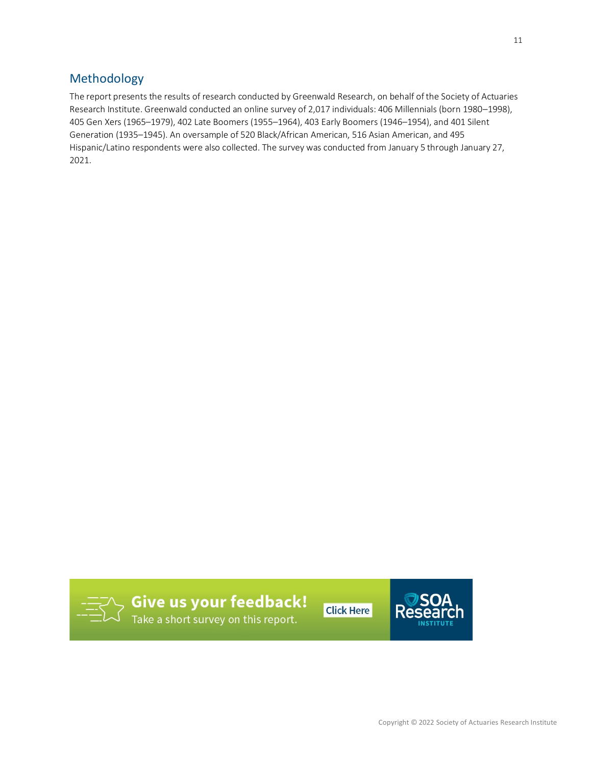# <span id="page-10-0"></span>Methodology

The report presents the results of research conducted by Greenwald Research, on behalf of the Society of Actuaries Research Institute. Greenwald conducted an online survey of 2,017 individuals: 406 Millennials (born 1980–1998), 405 Gen Xers (1965–1979), 402 Late Boomers (1955–1964), 403 Early Boomers (1946–1954), and 401 Silent Generation (1935–1945). An oversample of 520 Black/African American, 516 Asian American, and 495 Hispanic/Latino respondents were also collected. The survey was conducted from January 5 through January 27, 2021.



**Give us your feedback!**<br>Take a short survey on this report.